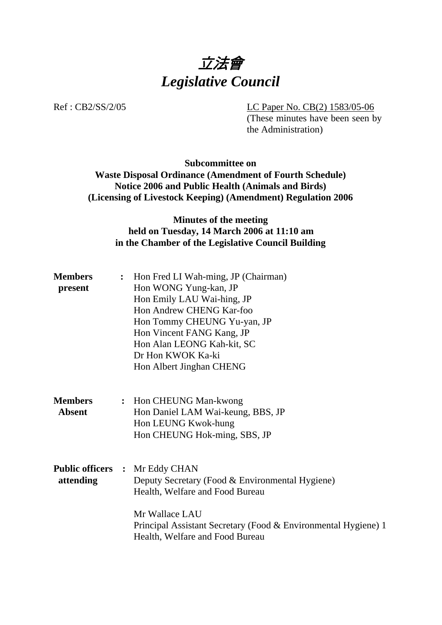

Ref : CB2/SS/2/05 LC Paper No. CB(2) 1583/05-06

(These minutes have been seen by the Administration)

## **Subcommittee on Waste Disposal Ordinance (Amendment of Fourth Schedule) Notice 2006 and Public Health (Animals and Birds) (Licensing of Livestock Keeping) (Amendment) Regulation 2006**

# **Minutes of the meeting held on Tuesday, 14 March 2006 at 11:10 am in the Chamber of the Legislative Council Building**

| <b>Members</b><br>present       | : Hon Fred LI Wah-ming, JP (Chairman)<br>Hon WONG Yung-kan, JP<br>Hon Emily LAU Wai-hing, JP<br>Hon Andrew CHENG Kar-foo<br>Hon Tommy CHEUNG Yu-yan, JP<br>Hon Vincent FANG Kang, JP<br>Hon Alan LEONG Kah-kit, SC<br>Dr Hon KWOK Ka-ki<br>Hon Albert Jinghan CHENG |
|---------------------------------|---------------------------------------------------------------------------------------------------------------------------------------------------------------------------------------------------------------------------------------------------------------------|
| <b>Members</b><br><b>Absent</b> | : Hon CHEUNG Man-kwong<br>Hon Daniel LAM Wai-keung, BBS, JP<br>Hon LEUNG Kwok-hung<br>Hon CHEUNG Hok-ming, SBS, JP                                                                                                                                                  |
| attending                       | <b>Public officers : Mr Eddy CHAN</b><br>Deputy Secretary (Food & Environmental Hygiene)<br>Health, Welfare and Food Bureau<br>Mr Wallace LAU<br>Principal Assistant Secretary (Food & Environmental Hygiene) 1<br>Health, Welfare and Food Bureau                  |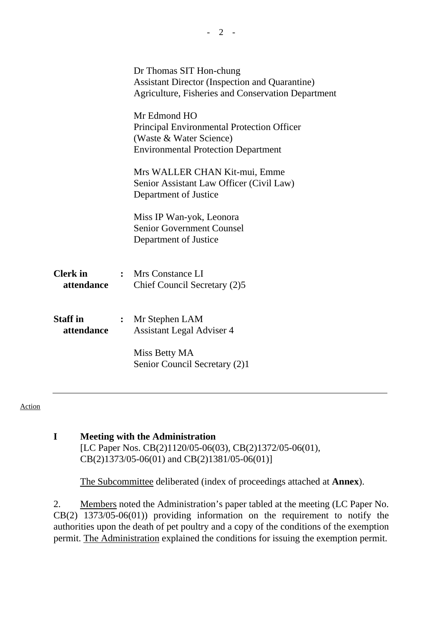|                               | Dr Thomas SIT Hon-chung<br><b>Assistant Director (Inspection and Quarantine)</b><br>Agriculture, Fisheries and Conservation Department |
|-------------------------------|----------------------------------------------------------------------------------------------------------------------------------------|
|                               | Mr Edmond HO<br>Principal Environmental Protection Officer<br>(Waste & Water Science)<br><b>Environmental Protection Department</b>    |
|                               | Mrs WALLER CHAN Kit-mui, Emme<br>Senior Assistant Law Officer (Civil Law)<br>Department of Justice                                     |
|                               | Miss IP Wan-yok, Leonora<br><b>Senior Government Counsel</b><br>Department of Justice                                                  |
| <b>Clerk</b> in<br>attendance | : Mrs Constance LI<br>Chief Council Secretary (2)5                                                                                     |
| <b>Staff</b> in<br>attendance | : Mr Stephen LAM<br><b>Assistant Legal Adviser 4</b>                                                                                   |
|                               | Miss Betty MA<br>Senior Council Secretary (2)1                                                                                         |
|                               |                                                                                                                                        |

#### Action

### **I Meeting with the Administration**  [LC Paper Nos. CB(2)1120/05-06(03), CB(2)1372/05-06(01), CB(2)1373/05-06(01) and CB(2)1381/05-06(01)]

1. The Subcommittee deliberated (index of proceedings attached at **Annex**).

2. Members noted the Administration's paper tabled at the meeting (LC Paper No. CB(2) 1373/05-06(01)) providing information on the requirement to notify the authorities upon the death of pet poultry and a copy of the conditions of the exemption permit. The Administration explained the conditions for issuing the exemption permit.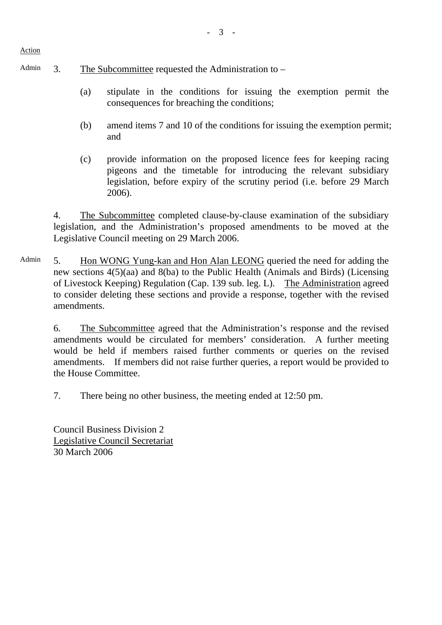Action

- Admin  $\alpha$  3. The Subcommittee requested the Administration to
	- (a) stipulate in the conditions for issuing the exemption permit the consequences for breaching the conditions;
	- (b) amend items 7 and 10 of the conditions for issuing the exemption permit; and
	- (c) provide information on the proposed licence fees for keeping racing pigeons and the timetable for introducing the relevant subsidiary legislation, before expiry of the scrutiny period (i.e. before 29 March 2006).

4. The Subcommittee completed clause-by-clause examination of the subsidiary legislation, and the Administration's proposed amendments to be moved at the Legislative Council meeting on 29 March 2006.

Admin 5. Hon WONG Yung-kan and Hon Alan LEONG queried the need for adding the new sections 4(5)(aa) and 8(ba) to the Public Health (Animals and Birds) (Licensing of Livestock Keeping) Regulation (Cap. 139 sub. leg. L). The Administration agreed to consider deleting these sections and provide a response, together with the revised amendments.

6. The Subcommittee agreed that the Administration's response and the revised amendments would be circulated for members' consideration. A further meeting would be held if members raised further comments or queries on the revised amendments. If members did not raise further queries, a report would be provided to the House Committee.

7. There being no other business, the meeting ended at 12:50 pm.

Council Business Division 2 Legislative Council Secretariat 30 March 2006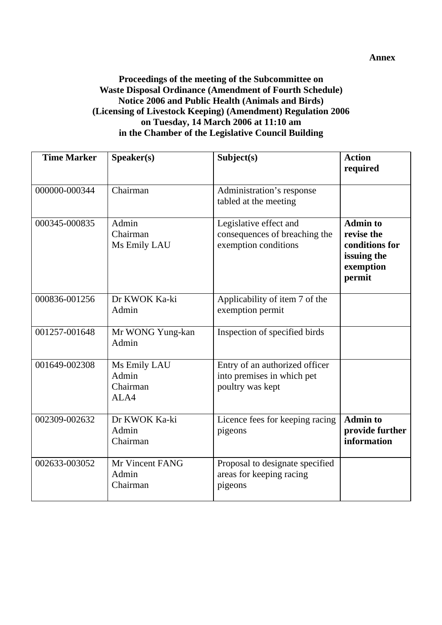### **Proceedings of the meeting of the Subcommittee on Waste Disposal Ordinance (Amendment of Fourth Schedule) Notice 2006 and Public Health (Animals and Birds) (Licensing of Livestock Keeping) (Amendment) Regulation 2006 on Tuesday, 14 March 2006 at 11:10 am in the Chamber of the Legislative Council Building**

| <b>Time Marker</b> | S <sub>p</sub> e <sub>aker(s)</sub>       | Subject(s)                                                                       | <b>Action</b><br>required                                                             |
|--------------------|-------------------------------------------|----------------------------------------------------------------------------------|---------------------------------------------------------------------------------------|
| 000000-000344      | Chairman                                  | Administration's response<br>tabled at the meeting                               |                                                                                       |
| 000345-000835      | Admin<br>Chairman<br>Ms Emily LAU         | Legislative effect and<br>consequences of breaching the<br>exemption conditions  | <b>Admin to</b><br>revise the<br>conditions for<br>issuing the<br>exemption<br>permit |
| 000836-001256      | Dr KWOK Ka-ki<br>Admin                    | Applicability of item 7 of the<br>exemption permit                               |                                                                                       |
| 001257-001648      | Mr WONG Yung-kan<br>Admin                 | Inspection of specified birds                                                    |                                                                                       |
| 001649-002308      | Ms Emily LAU<br>Admin<br>Chairman<br>ALA4 | Entry of an authorized officer<br>into premises in which pet<br>poultry was kept |                                                                                       |
| 002309-002632      | Dr KWOK Ka-ki<br>Admin<br>Chairman        | Licence fees for keeping racing<br>pigeons                                       | <b>Admin to</b><br>provide further<br>information                                     |
| 002633-003052      | Mr Vincent FANG<br>Admin<br>Chairman      | Proposal to designate specified<br>areas for keeping racing<br>pigeons           |                                                                                       |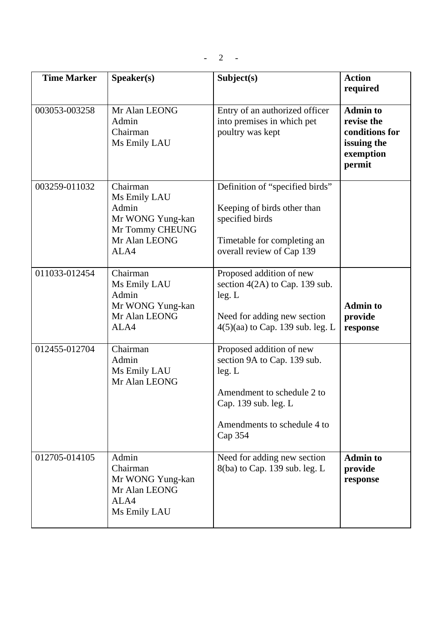| <b>Time Marker</b> | Speaker(s)                                                                                        | Subject(s)                                                                                                                                                        | <b>Action</b><br>required                                                             |
|--------------------|---------------------------------------------------------------------------------------------------|-------------------------------------------------------------------------------------------------------------------------------------------------------------------|---------------------------------------------------------------------------------------|
| 003053-003258      | Mr Alan LEONG<br>Admin<br>Chairman<br>Ms Emily LAU                                                | Entry of an authorized officer<br>into premises in which pet<br>poultry was kept                                                                                  | <b>Admin to</b><br>revise the<br>conditions for<br>issuing the<br>exemption<br>permit |
| 003259-011032      | Chairman<br>Ms Emily LAU<br>Admin<br>Mr WONG Yung-kan<br>Mr Tommy CHEUNG<br>Mr Alan LEONG<br>ALA4 | Definition of "specified birds"<br>Keeping of birds other than<br>specified birds<br>Timetable for completing an<br>overall review of Cap 139                     |                                                                                       |
| 011033-012454      | Chairman<br>Ms Emily LAU<br>Admin<br>Mr WONG Yung-kan<br>Mr Alan LEONG<br>ALA4                    | Proposed addition of new<br>section $4(2A)$ to Cap. 139 sub.<br>leg. L<br>Need for adding new section<br>4(5)(aa) to Cap. 139 sub. leg. L                         | <b>Admin to</b><br>provide<br>response                                                |
| 012455-012704      | Chairman<br>Admin<br>Ms Emily LAU<br>Mr Alan LEONG                                                | Proposed addition of new<br>section 9A to Cap. 139 sub.<br>leg. L<br>Amendment to schedule 2 to<br>Cap. 139 sub. leg. L<br>Amendments to schedule 4 to<br>Cap 354 |                                                                                       |
| 012705-014105      | Admin<br>Chairman<br>Mr WONG Yung-kan<br>Mr Alan LEONG<br>ALA4<br>Ms Emily LAU                    | Need for adding new section<br>8(ba) to Cap. 139 sub. leg. L                                                                                                      | <b>Admin to</b><br>provide<br>response                                                |